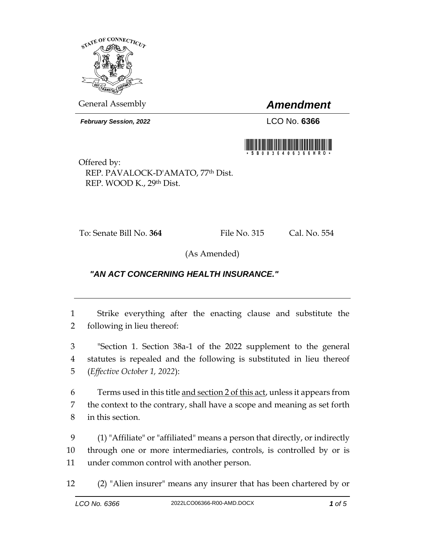

General Assembly *Amendment*

*February Session, 2022* LCO No. **6366**



Offered by: REP. PAVALOCK-D'AMATO, 77th Dist. REP. WOOD K., 29th Dist.

To: Senate Bill No. **364** File No. 315 Cal. No. 554

(As Amended)

## *"AN ACT CONCERNING HEALTH INSURANCE."*

1 Strike everything after the enacting clause and substitute the 2 following in lieu thereof:

3 "Section 1. Section 38a-1 of the 2022 supplement to the general 4 statutes is repealed and the following is substituted in lieu thereof 5 (*Effective October 1, 2022*):

6 Terms used in this title and section 2 of this act, unless it appears from 7 the context to the contrary, shall have a scope and meaning as set forth 8 in this section.

9 (1) "Affiliate" or "affiliated" means a person that directly, or indirectly 10 through one or more intermediaries, controls, is controlled by or is 11 under common control with another person.

12 (2) "Alien insurer" means any insurer that has been chartered by or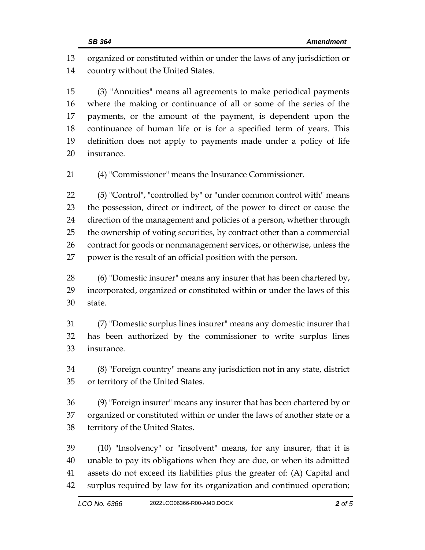organized or constituted within or under the laws of any jurisdiction or country without the United States.

 (3) "Annuities" means all agreements to make periodical payments where the making or continuance of all or some of the series of the payments, or the amount of the payment, is dependent upon the continuance of human life or is for a specified term of years. This definition does not apply to payments made under a policy of life insurance.

(4) "Commissioner" means the Insurance Commissioner.

 (5) "Control", "controlled by" or "under common control with" means the possession, direct or indirect, of the power to direct or cause the direction of the management and policies of a person, whether through the ownership of voting securities, by contract other than a commercial 26 contract for goods or nonmanagement services, or otherwise, unless the power is the result of an official position with the person.

 (6) "Domestic insurer" means any insurer that has been chartered by, incorporated, organized or constituted within or under the laws of this state.

 (7) "Domestic surplus lines insurer" means any domestic insurer that has been authorized by the commissioner to write surplus lines insurance.

 (8) "Foreign country" means any jurisdiction not in any state, district or territory of the United States.

 (9) "Foreign insurer" means any insurer that has been chartered by or organized or constituted within or under the laws of another state or a territory of the United States.

 (10) "Insolvency" or "insolvent" means, for any insurer, that it is unable to pay its obligations when they are due, or when its admitted assets do not exceed its liabilities plus the greater of: (A) Capital and surplus required by law for its organization and continued operation;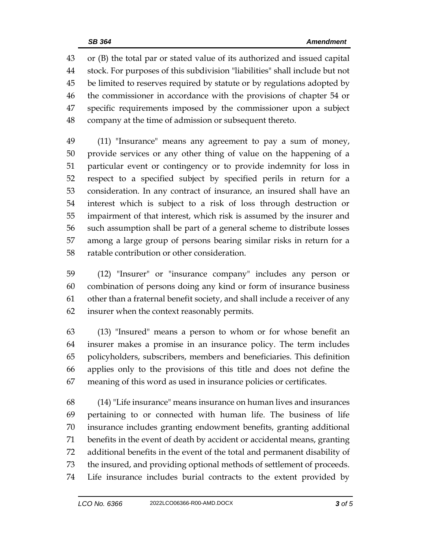or (B) the total par or stated value of its authorized and issued capital stock. For purposes of this subdivision "liabilities" shall include but not be limited to reserves required by statute or by regulations adopted by the commissioner in accordance with the provisions of chapter 54 or specific requirements imposed by the commissioner upon a subject company at the time of admission or subsequent thereto.

 (11) "Insurance" means any agreement to pay a sum of money, provide services or any other thing of value on the happening of a particular event or contingency or to provide indemnity for loss in respect to a specified subject by specified perils in return for a consideration. In any contract of insurance, an insured shall have an interest which is subject to a risk of loss through destruction or impairment of that interest, which risk is assumed by the insurer and such assumption shall be part of a general scheme to distribute losses among a large group of persons bearing similar risks in return for a ratable contribution or other consideration.

 (12) "Insurer" or "insurance company" includes any person or combination of persons doing any kind or form of insurance business other than a fraternal benefit society, and shall include a receiver of any insurer when the context reasonably permits.

 (13) "Insured" means a person to whom or for whose benefit an insurer makes a promise in an insurance policy. The term includes policyholders, subscribers, members and beneficiaries. This definition applies only to the provisions of this title and does not define the meaning of this word as used in insurance policies or certificates.

 (14) "Life insurance" means insurance on human lives and insurances pertaining to or connected with human life. The business of life insurance includes granting endowment benefits, granting additional benefits in the event of death by accident or accidental means, granting additional benefits in the event of the total and permanent disability of the insured, and providing optional methods of settlement of proceeds. Life insurance includes burial contracts to the extent provided by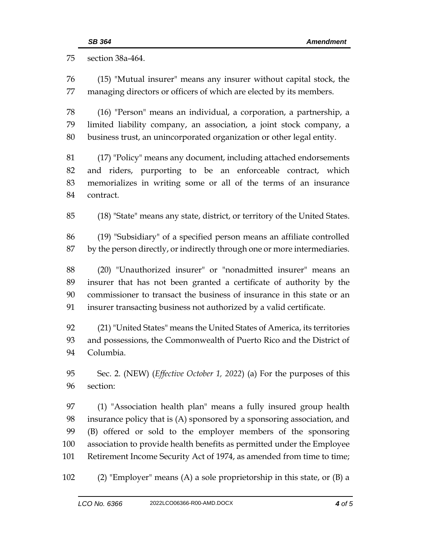section 38a-464. (15) "Mutual insurer" means any insurer without capital stock, the managing directors or officers of which are elected by its members. (16) "Person" means an individual, a corporation, a partnership, a limited liability company, an association, a joint stock company, a business trust, an unincorporated organization or other legal entity. (17) "Policy" means any document, including attached endorsements and riders, purporting to be an enforceable contract, which memorializes in writing some or all of the terms of an insurance contract. (18) "State" means any state, district, or territory of the United States. (19) "Subsidiary" of a specified person means an affiliate controlled by the person directly, or indirectly through one or more intermediaries. (20) "Unauthorized insurer" or "nonadmitted insurer" means an insurer that has not been granted a certificate of authority by the commissioner to transact the business of insurance in this state or an insurer transacting business not authorized by a valid certificate. (21) "United States" means the United States of America, its territories and possessions, the Commonwealth of Puerto Rico and the District of Columbia. Sec. 2. (NEW) (*Effective October 1, 2022*) (a) For the purposes of this section: (1) "Association health plan" means a fully insured group health insurance policy that is (A) sponsored by a sponsoring association, and (B) offered or sold to the employer members of the sponsoring association to provide health benefits as permitted under the Employee Retirement Income Security Act of 1974, as amended from time to time; (2) "Employer" means (A) a sole proprietorship in this state, or (B) a